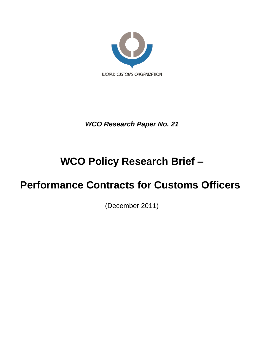

*WCO Research Paper No. 21*

# **WCO Policy Research Brief –**

# **Performance Contracts for Customs Officers**

(December 2011)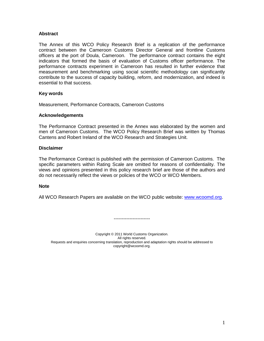## **Abstract**

The Annex of this WCO Policy Research Brief is a replication of the performance contract between the Cameroon Customs Director General and frontline Customs officers at the port of Doula, Cameroon. The performance contract contains the eight indicators that formed the basis of evaluation of Customs officer performance. The performance contracts experiment in Cameroon has resulted in further evidence that measurement and benchmarking using social scientific methodology can significantly contribute to the success of capacity building, reform, and modernization, and indeed is essential to that success.

## **Key words**

Measurement, Performance Contracts, Cameroon Customs

## **Acknowledgements**

The Performance Contract presented in the Annex was elaborated by the women and men of Cameroon Customs. The WCO Policy Research Brief was written by Thomas Cantens and Robert Ireland of the WCO Research and Strategies Unit.

## **Disclaimer**

The Performance Contract is published with the permission of Cameroon Customs. The specific parameters within Rating Scale are omitted for reasons of confidentiality. The views and opinions presented in this policy research brief are those of the authors and do not necessarily reflect the views or policies of the WCO or WCO Members.

## **Note**

All WCO Research Papers are available on the WCO public website: [www.wcoomd.org.](http://www.wcoomd.org/)

-----------------------

Copyright © 2011 World Customs Organization. All rights reserved. Requests and enquiries concerning translation, reproduction and adaptation rights should be addressed to copyright@wcoomd.org.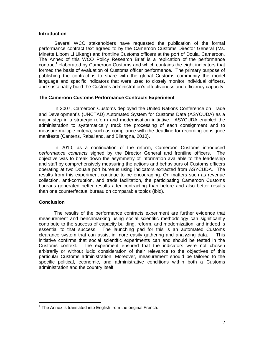## **Introduction**

Several WCO stakeholders have requested the publication of the formal performance contract text agreed to by the Cameroon Customs Director General (Ms. Minette Libom Li Likeng) and frontline Customs officers at the port of Doula, Cameroon. The Annex of this WCO Policy Research Brief is a replication of the performance contract<sup>1</sup> elaborated by Cameroon Customs and which contains the eight indicators that formed the basis of evaluation of Customs officer performance. The primary purpose of publishing the contract is to share with the global Customs community the model language and specific indicators that were used to closely monitor individual officers, and sustainably build the Customs administration's effectiveness and efficiency capacity.

## **The Cameroon Customs Performance Contracts Experiment**

In 2007, Cameroon Customs deployed the United Nations Conference on Trade and Development's (UNCTAD) Automated System for Customs Data (ASYCUDA) as a major step in a strategic reform and modernisation initiative. ASYCUDA enabled the administration to systematically track the processing of each consignment and to measure multiple criteria, such as compliance with the deadline for recording consignee manifests (Cantens, Raballand, and Bilangna, 2010).

In 2010, as a continuation of the reform, Cameroon Customs introduced *performance contracts* signed by the Director General and frontline officers. The objective was to break down the asymmetry of information available to the leadership and staff by comprehensively measuring the actions and behaviours of Customs officers operating at two Douala port bureaus using indicators extracted from ASYCUDA. The results from this experiment continue to be encouraging. On matters such as revenue collection, anti-corruption, and trade facilitation, the participating Cameroon Customs bureaus generated better results after contracting than before and also better results than one counterfactual bureau on comparable topics (Ibid).

## **Conclusion**

 $\overline{a}$ 

The results of the performance contracts experiment are further evidence that measurement and benchmarking using social scientific methodology can significantly contribute to the success of capacity building, reform, and modernization, and indeed is essential to that success. The launching pad for this is an automated Customs clearance system that can assist in more easily gathering and analyzing data. This initiative confirms that social scientific experiments can and should be tested in the Customs context. The experiment ensured that the indicators were not chosen arbitrarily or without lucid consideration of their relevance to the objectives of this particular Customs administration. Moreover, measurement should be tailored to the specific political, economic, and administrative conditions within both a Customs administration and the country itself.

 $1$  The Annex is translated into English from the original French.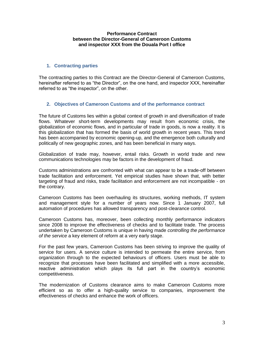## **Performance Contract between the Director-General of Cameroon Customs and inspector XXX from the Douala Port I office**

# **1. Contracting parties**

The contracting parties to this Contract are the Director-General of Cameroon Customs, hereinafter referred to as "the Director", on the one hand, and inspector XXX, hereinafter referred to as "the inspector", on the other.

# **2. Objectives of Cameroon Customs and of the performance contract**

The future of Customs lies within a global context of growth in and diversification of trade flows. Whatever short-term developments may result from economic crisis, the globalization of economic flows, and in particular of trade in goods, is now a reality. It is this globalization that has formed the basis of world growth in recent years. This trend has been accompanied by economic opening-up, and the emergence both culturally and politically of new geographic zones, and has been beneficial in many ways.

Globalization of trade may, however, entail risks. Growth in world trade and new communications technologies may be factors in the development of fraud.

Customs administrations are confronted with what can appear to be a trade-off between trade facilitation and enforcement. Yet empirical studies have shown that, with better targeting of fraud and risks, trade facilitation and enforcement are not incompatible - on the contrary.

Cameroon Customs has been overhauling its structures, working methods, IT system and management style for a number of years now. Since 1 January 2007, full automation of procedures has allowed transparency and post-clearance control.

Cameroon Customs has, moreover, been collecting monthly performance indicators since 2008 to improve the effectiveness of checks and to facilitate trade. The process undertaken by Cameroon Customs is unique in having made *controlling the performance of the service* a key element of reform at a very early stage.

For the past few years, Cameroon Customs has been striving to improve the quality of service for users. A service culture is intended to permeate the entire service, from organization through to the expected behaviours of officers. Users must be able to recognize that processes have been facilitated and simplified with a more accessible, reactive administration which plays its full part in the country's economic competitiveness.

The modernization of Customs clearance aims to make Cameroon Customs more efficient so as to offer a high-quality service to companies, improvement the effectiveness of checks and enhance the work of officers.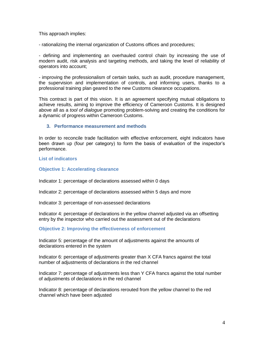This approach implies:

- rationalizing the internal organization of Customs offices and procedures;

- defining and implementing an overhauled control chain by increasing the use of modern audit, risk analysis and targeting methods, and taking the level of reliability of operators into account;

- improving the professionalism of certain tasks, such as audit, procedure management, the supervision and implementation of controls, and informing users, thanks to a professional training plan geared to the new Customs clearance occupations.

This contract is part of this vision. It is an agreement specifying mutual obligations to achieve results, aiming to improve the efficiency of Cameroon Customs. It is designed above all as a *tool of dialogue* promoting problem-solving and creating the conditions for a dynamic of progress within Cameroon Customs.

## **3. Performance measurement and methods**

In order to reconcile trade facilitation with effective enforcement, eight indicators have been drawn up (four per category) to form the basis of evaluation of the inspector's performance.

## **List of indicators**

## **Objective 1: Accelerating clearance**

Indicator 1: percentage of declarations assessed within 0 days

Indicator 2: percentage of declarations assessed within 5 days and more

Indicator 3: percentage of non-assessed declarations

Indicator 4: percentage of declarations in the yellow channel adjusted via an offsetting entry by the inspector who carried out the assessment out of the declarations

**Objective 2: Improving the effectiveness of enforcement**

Indicator 5: percentage of the amount of adjustments against the amounts of declarations entered in the system

Indicator 6: percentage of adjustments greater than X CFA francs against the total number of adjustments of declarations in the red channel

Indicator 7: percentage of adjustments less than Y CFA francs against the total number of adjustments of declarations in the red channel

Indicator 8: percentage of declarations rerouted from the yellow channel to the red channel which have been adjusted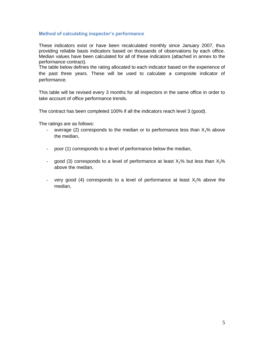# **Method of calculating inspector's performance**

These indicators exist or have been recalculated monthly since January 2007, thus providing reliable basis indicators based on thousands of observations by each office. Median values have been calculated for all of these indicators (attached in annex to the performance contract).

The table below defines the rating allocated to each indicator based on the experience of the past three years. These will be used to calculate a composite indicator of performance.

This table will be revised every 3 months for all inspectors in the same office in order to take account of office performance trends.

The contract has been completed 100% if all the indicators reach level 3 (good).

The ratings are as follows:

- average (2) corresponds to the median or to performance less than  $X_1\%$  above the median,
- poor (1) corresponds to a level of performance below the median,
- good (3) corresponds to a level of performance at least  $X_1$ % but less than  $X_2$ % above the median,
- very good (4) corresponds to a level of performance at least  $X_2$ % above the median,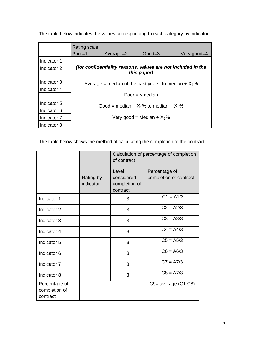|             | <b>Rating scale</b>                                          |           |          |             |  |  |
|-------------|--------------------------------------------------------------|-----------|----------|-------------|--|--|
|             | Poor= $1$                                                    | Average=2 | $Good=3$ | Very good=4 |  |  |
| Indicator 1 |                                                              |           |          |             |  |  |
| Indicator 2 | (for confidentiality reasons, values are not included in the |           |          |             |  |  |
|             | this paper)                                                  |           |          |             |  |  |
| Indicator 3 | Average = median of the past years to median + $X_1\%$       |           |          |             |  |  |
| Indicator 4 |                                                              |           |          |             |  |  |
|             | Poor $=$ $\leq$ median                                       |           |          |             |  |  |
| Indicator 5 | Good = median + $X_1$ % to median + $X_2$ %                  |           |          |             |  |  |
| Indicator 6 |                                                              |           |          |             |  |  |
| Indicator 7 | Very good = Median + $X_2$ %                                 |           |          |             |  |  |
| Indicator 8 |                                                              |           |          |             |  |  |

The table below indicates the values corresponding to each category by indicator.

The table below shows the method of calculating the completion of the contract.

|                                            |                        | Calculation of percentage of completion<br>of contract |                                         |
|--------------------------------------------|------------------------|--------------------------------------------------------|-----------------------------------------|
|                                            | Rating by<br>indicator | Level<br>considered<br>completion of<br>contract       | Percentage of<br>completion of contract |
| Indicator 1                                |                        | 3                                                      | $C1 = A1/3$                             |
| Indicator 2                                |                        | 3                                                      | $C2 = A2/3$                             |
| Indicator 3                                |                        | 3                                                      | $C3 = A3/3$                             |
| Indicator 4                                |                        | 3                                                      | $C4 = A4/3$                             |
| Indicator 5                                |                        | 3                                                      | $C5 = A5/3$                             |
| Indicator 6                                |                        | 3                                                      | $C6 = A6/3$                             |
| Indicator 7                                |                        | 3                                                      | $C7 = A7/3$                             |
| Indicator 8                                |                        | 3                                                      | $C8 = A7/3$                             |
| Percentage of<br>completion of<br>contract |                        |                                                        | $C9$ = average $(C1:C8)$                |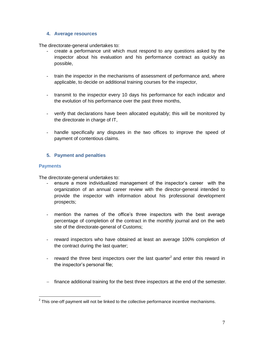# **4. Average resources**

The directorate-general undertakes to:

- create a performance unit which must respond to any questions asked by the inspector about his evaluation and his performance contract as quickly as possible,
- train the inspector in the mechanisms of assessment of performance and, where applicable, to decide on additional training courses for the inspector,
- transmit to the inspector every 10 days his performance for each indicator and the evolution of his performance over the past three months,
- verify that declarations have been allocated equitably; this will be monitored by the directorate in charge of IT,
- handle specifically any disputes in the two offices to improve the speed of payment of contentious claims.

# **5. Payment and penalties**

# **Payments**

The directorate-general undertakes to:

- ensure a more individualized management of the inspector's career with the organization of an annual career review with the director-general intended to provide the inspector with information about his professional development prospects;
- mention the names of the office's three inspectors with the best average percentage of completion of the contract in the monthly journal and on the web site of the directorate-general of Customs;
- reward inspectors who have obtained at least an average 100% completion of the contract during the last quarter;
- reward the three best inspectors over the last quarter<sup>2</sup> and enter this reward in the inspector's personal file;
- finance additional training for the best three inspectors at the end of the semester.

**EXECUTE:**<br><sup>2</sup> This one-off payment will not be linked to the collective performance incentive mechanisms.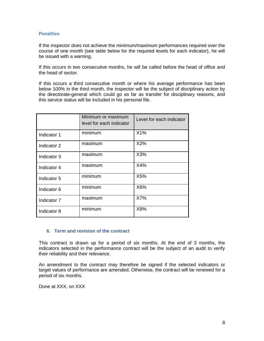# **Penalties**

If the inspector does not achieve the minimum/maximum performances required over the course of one month (see table below for the required levels for each indicator), he will be issued with a warning.

If this occurs in two consecutive months, he will be called before the head of office and the head of sector.

If this occurs a third consecutive month or where his average performance has been below 100% in the third month, the inspector will be the subject of disciplinary action by the directorate-general which could go as far as transfer for disciplinary reasons, and this service status will be included in his personal file.

|             | Minimum or maximum<br>level for each indicator | Level for each indicator |
|-------------|------------------------------------------------|--------------------------|
| Indicator 1 | minimum                                        | X1%                      |
| Indicator 2 | maximum                                        | X2%                      |
| Indicator 3 | maximum                                        | X3%                      |
| Indicator 4 | maximum                                        | X4%                      |
| Indicator 5 | minimum                                        | X5%                      |
| Indicator 6 | minimum                                        | X6%                      |
| Indicator 7 | maximum                                        | X7%                      |
| Indicator 8 | minimum                                        | X8%                      |

# **6. Term and revision of the contract**

This contract is drawn up for a period of six months. At the end of 3 months, the indicators selected in the performance contract will be the subject of an audit to verify their reliability and their relevance.

An amendment to the contract may therefore be signed if the selected indicators or target values of performance are amended. Otherwise, the contract will be renewed for a period of six months.

Done at XXX, on XXX